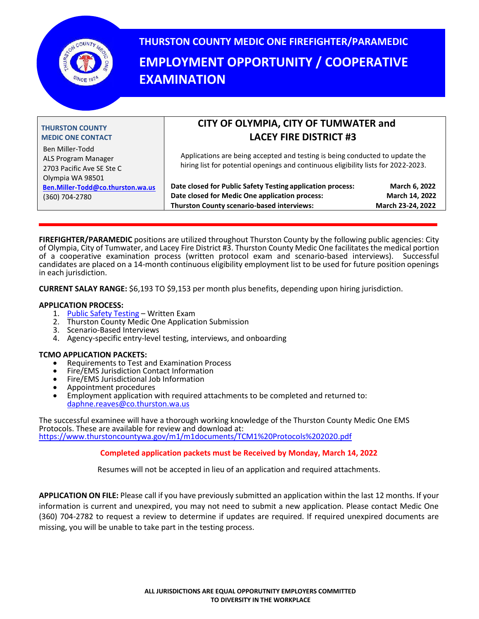

# **THURSTON COUNTY MEDIC ONE FIREFIGHTER/PARAMEDIC EMPLOYMENT OPPORTUNITY / COOPERATIVE EXAMINATION**

| <b>THURSTON COUNTY</b><br><b>MEDIC ONE CONTACT</b>                                      | CITY OF OLYMPIA, CITY OF TUMWATER and<br><b>LACEY FIRE DISTRICT #3</b>                                                                                             |                                                      |  |
|-----------------------------------------------------------------------------------------|--------------------------------------------------------------------------------------------------------------------------------------------------------------------|------------------------------------------------------|--|
| Ben Miller-Todd<br>ALS Program Manager<br>2703 Pacific Ave SE Ste C<br>Olympia WA 98501 | Applications are being accepted and testing is being conducted to update the<br>hiring list for potential openings and continuous eligibility lists for 2022-2023. |                                                      |  |
| Ben.Miller-Todd@co.thurston.wa.us<br>(360) 704-2780                                     | Date closed for Public Safety Testing application process:<br>Date closed for Medic One application process:<br>Thurston County scenario-based interviews:         | March 6, 2022<br>March 14, 2022<br>March 23-24, 2022 |  |

**FIREFIGHTER/PARAMEDIC** positions are utilized throughout Thurston County by the following public agencies: City of Olympia, City of Tumwater, and Lacey Fire District #3. Thurston County Medic One facilitates the medical portion of a cooperative examination process (written protocol exam and scenario-based interviews). Successful candidates are placed on a 14-month continuous eligibility employment list to be used for future position openings in each jurisdiction.

**CURRENT SALAY RANGE:** \$6,193 TO \$9,153 per month plus benefits, depending upon hiring jurisdiction.

#### **APPLICATION PROCESS:**

- 1. [Public Safety Testing](https://www.publicsafetytesting.com/departments/thurston-county-medic-one/firefighter-38) Written Exam
- 2. Thurston County Medic One Application Submission
- 3. Scenario-Based Interviews
- 4. Agency-specific entry-level testing, interviews, and onboarding

#### **TCMO APPLICATION PACKETS:**

- Requirements to Test and Examination Process
- Fire/EMS Jurisdiction Contact Information
- Fire/EMS Jurisdictional Job Information
- Appointment procedures
- Employment application with required attachments to be completed and returned to: [daphne.reaves@co.thurston.wa.us](mailto:daphne.reaves@co.thurston.wa.us)

The successful examinee will have a thorough working knowledge of the Thurston County Medic One EMS Protocols. These are available for review and download at: <https://www.thurstoncountywa.gov/m1/m1documents/TCM1%20Protocols%202020.pdf>

#### **Completed application packets must be Received by Monday, March 14, 2022**

Resumes will not be accepted in lieu of an application and required attachments.

**APPLICATION ON FILE:** Please call if you have previously submitted an application within the last 12 months. If your information is current and unexpired, you may not need to submit a new application. Please contact Medic One (360) 704-2782 to request a review to determine if updates are required. If required unexpired documents are missing, you will be unable to take part in the testing process.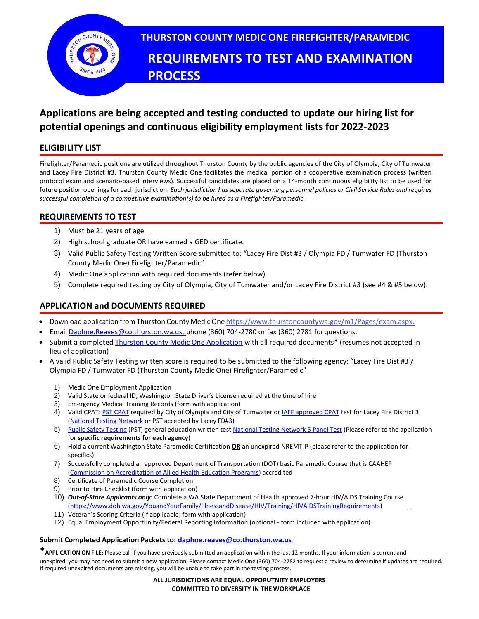

### **Applications are being accepted and testing conducted to update our hiring list for potential openings and continuous eligibility employment lists for 2022-2023**

#### **ELIGIBILITY LIST**

Firefighter/Paramedic positions are utilized throughout Thurston County by the public agencies of the City of Olympia, City of Tumwater and Lacey Fire District #3. Thurston County Medic One facilitates the medical portion of a cooperative examination process (written protocol exam and scenario-based interviews). Successful candidates are placed on a 14-month continuous eligibility list to be used for future position openings for each jurisdiction. *Each jurisdiction has separate governing personnel policies or Civil Service Rules and requires successful completion of a competitive examination(s) to be hired as a Firefighter/Paramedic.*

#### **REQUIREMENTS TO TEST**

- 1) Must be 21 years of age.
- 2) High school graduate OR have earned a GED certificate.
- 3) Valid Public Safety Testing Written Score submitted to: "Lacey Fire Dist #3 / Olympia FD / Tumwater FD (Thurston County Medic One) Firefighter/Paramedic"
- 4) Medic One application with required documents (refer below).
- 5) Complete required testing by City of Olympia, City of Tumwater and/or Lacey Fire District #3 (see #4 & #5 below).

#### **APPLICATION and DOCUMENTS REQUIRED**

- Download application from Thurston County Medic One [https://www.thurstoncountywa.gov/m1/Pages/exam.aspx.](https://www.co.thurston.wa.us/medic1/exam.htm)
- Email [Daphne.Reaves@co.thurston.wa.us, p](mailto:Daphne.Reaves@co.thurston.wa.us,)hone (360) 704-2780 or fax (360) 2781 forquestions.
- Submit a completed [Thurston County Medic One Application](https://www.co.thurston.wa.us/medic1/exam.htm) with all required documents**\*** (resumes not accepted in lieu of application)
- A valid Public Safety Testing written score is required to be submitted to the following agency: "Lacey Fire Dist #3 / Olympia FD / Tumwater FD (Thurston County Medic One) Firefighter/Paramedic"
	- 1) Medic One Employment Application
	- 2) Valid State or federal ID; Washington State Driver's License required at the time of hire
	- 3) Emergency Medical Training Records (form with application)
	- 4) Valid CPAT: [PST CPAT](https://www.publicsafetytesting.com/informationcenter/info/index/page/test-requirements-firefighter-physical/) required by City of Olympia and City of Tumwater or [IAFF approved CPAT](http://client.prod.iaff.org/#contentid%3D8842) test for Lacey Fire District 3 [\(National Testing Network](https://nationaltestingnetwork.com/publicsafetyjobs/cpat_info.cfm) or PST accepted by Lacey FD#3)
	- 5) [Public Safety Testing](https://www.publicsafetytesting.com/) (PST) general education written test [National Testing Network 5 Panel Test](https://nationaltestingnetwork.com/publicsafetyjobs/ntn-test-firefighter.cfm) (Please refer to the application for **specific requirements for each agency**)
	- 6) Hold a current Washington State Paramedic Certification **OR** an unexpired NREMT-P (please refer to the application for specifics)
	- 7) Successfully completed an approved Department of Transportation (DOT) basic Paramedic Course that is CAAHE[P](https://www.caahep.org/Students/Find-a-Program.aspx) [\(Commission on Accreditation of Allied Health Education Programs\)](https://www.caahep.org/Students/Find-a-Program.aspx) accredited
	- 8) Certificate of Paramedic Course Completion
	- 9) Prior to Hire Checklist (form with application)
	- 10) *Out-of-State Applicants only***:** Complete a WA State Department of Health approved 7-hour HIV/AIDS Training Cours[e](https://www.doh.wa.gov/YouandYourFamily/IllnessandDisease/HIV/Training/HIVAIDSTrainingRequirements) [\(https://www.doh.wa.gov/YouandYourFamily/IllnessandDisease/HIV/Training/HIVAIDSTrainingRequirements\)](https://www.doh.wa.gov/YouandYourFamily/IllnessandDisease/HIV/Training/HIVAIDSTrainingRequirements)
	- 11) Veteran's Scoring Criteria (if applicable; form with application)
	- 12) Equal Employment Opportunity/Federal Reporting Information (optional form included with application).

#### **Submit Completed Application Packets to[: daphne.reaves@co.thurston.wa.us](mailto:daphne.reaves@co.thurston.wa.us)**

**\*APPLICATION ON FILE:** Please call if you have previously submitted an application within the last 12 months. If your information is current and unexpired, you may not need to submit a new application. Please contact Medic One (360) 704-2782 to request a review to determine if updates are required. If required unexpired documents are missing, you will be unable to take part in the testing process.

> **ALL JURISDICTIONS ARE EQUAL OPPORUTNITY EMPLOYERS COMMITTED TO DIVERSITY IN THE WORKPLACE**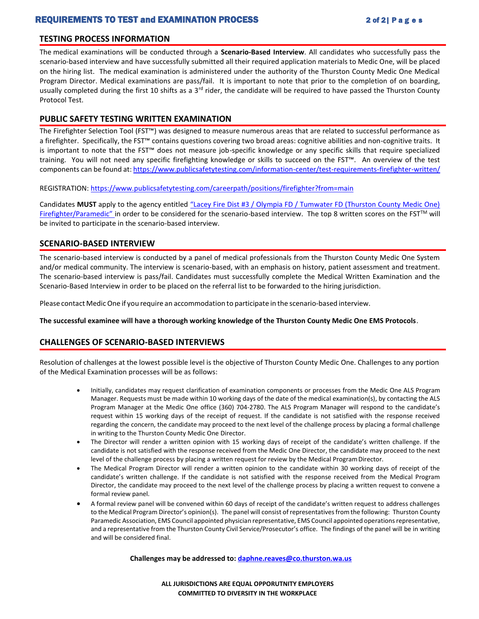#### REQUIREMENTS TO TEST and EXAMINATION PROCESS 2 of 2 | P a g e s

#### **TESTING PROCESS INFORMATION**

The medical examinations will be conducted through a **Scenario-Based Interview**. All candidates who successfully pass the scenario-based interview and have successfully submitted all their required application materials to Medic One, will be placed on the hiring list. The medical examination is administered under the authority of the Thurston County Medic One Medical Program Director. Medical examinations are pass/fail. It is important to note that prior to the completion of on boarding, usually completed during the first 10 shifts as a 3<sup>rd</sup> rider, the candidate will be required to have passed the Thurston County Protocol Test.

#### **PUBLIC SAFETY TESTING WRITTEN EXAMINATION**

The Firefighter Selection Tool (FST™) was designed to measure numerous areas that are related to successful performance as a firefighter. Specifically, the FST™ contains questions covering two broad areas: cognitive abilities and non-cognitive traits. It is important to note that the FST™ does not measure job-specific knowledge or any specific skills that require specialized training. You will not need any specific firefighting knowledge or skills to succeed on the FST™. An overview of the test components can be found at[: https://www.publicsafetytesting.com/information-center/test-requirements-firefighter-written/](https://www.publicsafetytesting.com/information-center/test-requirements-firefighter-written/)

REGISTRATION:<https://www.publicsafetytesting.com/careerpath/positions/firefighter?from=main>

Candidates **MUST** apply to the agency entitled ["Lacey Fire Dist #3 / Olympia FD / Tumwater FD \(Thurston County Medic One\)](https://www.publicsafetytesting.com/departments/thurston-county-medic-one/firefighter-38)  Fi[refighter/Paramedic"](https://www.publicsafetytesting.com/departments/thurston-county-medic-one/firefighter-38) in order to be considered for the scenario-based interview. The top 8 written scores on the FST<sup>™</sup> will be invited to participate in the scenario-based interview.

#### **SCENARIO-BASED INTERVIEW**

The scenario-based interview is conducted by a panel of medical professionals from the Thurston County Medic One System and/or medical community. The interview is scenario-based, with an emphasis on history, patient assessment and treatment. The scenario-based interview is pass/fail. Candidates must successfully complete the Medical Written Examination and the Scenario-Based Interview in order to be placed on the referral list to be forwarded to the hiring jurisdiction.

Please contact MedicOne if you require an accommodation to participate in the scenario-based interview.

**The successful examinee will have a thorough working knowledge of the Thurston County Medic One EMS Protocols**.

#### **CHALLENGES OF SCENARIO-BASED INTERVIEWS**

Resolution of challenges at the lowest possible level is the objective of Thurston County Medic One. Challenges to any portion of the Medical Examination processes will be as follows:

- Initially, candidates may request clarification of examination components or processes from the Medic One ALS Program Manager. Requests must be made within 10 working days of the date of the medical examination(s), by contacting the ALS Program Manager at the Medic One office (360) 704-2780. The ALS Program Manager will respond to the candidate's request within 15 working days of the receipt of request. If the candidate is not satisfied with the response received regarding the concern, the candidate may proceed to the next level of the challenge process by placing a formal challenge in writing to the Thurston County Medic One Director.
- The Director will render a written opinion with 15 working days of receipt of the candidate's written challenge. If the candidate is not satisfied with the response received from the Medic One Director, the candidate may proceed to the next level of the challenge process by placing a written request for review by the Medical Program Director.
- The Medical Program Director will render a written opinion to the candidate within 30 working days of receipt of the candidate's written challenge. If the candidate is not satisfied with the response received from the Medical Program Director, the candidate may proceed to the next level of the challenge process by placing a written request to convene a formal review panel.
- A formal review panel will be convened within 60 days of receipt of the candidate's written request to address challenges to the Medical Program Director's opinion(s). The panel will consist of representatives from the following: Thurston County Paramedic Association, EMS Council appointed physician representative, EMS Council appointed operations representative, and a representative from the Thurston County Civil Service/Prosecutor's office. The findings of the panel will be in writing and will be considered final.

**Challenges may be addressed to: [daphne.reaves@co.thurston.wa.us](mailto:daphne.reaves@co.thurston.wa.us)**

**ALL JURISDICTIONS ARE EQUAL OPPORUTNITY EMPLOYERS COMMITTED TO DIVERSITY IN THE WORKPLACE**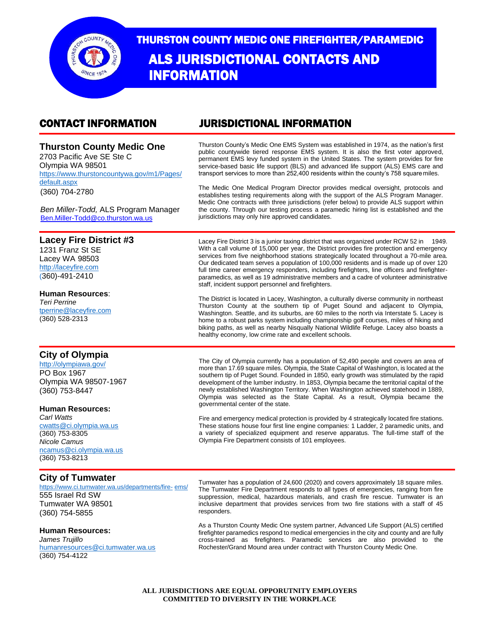

# THURSTON COUNTY MEDIC ONE FIREFIGHTER/PARAMEDIC ALS JURISDICTIONAL CONTACTS AND INFORMATION

## **Thurston County Medic One**

2703 Pacific Ave SE Ste C Olympia WA 98501 [https://www.thurstoncountywa.gov/m1/Pages/](https://www.co.thurston.wa.us/medic1/index.htm) default.aspx (360) 704-2780

### CONTACT INFORMATION JURISDICTIONAL INFORMATION

Thurston County's Medic One EMS System was established in 1974, as the nation's first public countywide tiered response EMS system. It is also the first voter approved, permanent EMS levy funded system in the United States. The system provides for fire service-based basic life support (BLS) and advanced life support (ALS) EMS care and transport services to more than 252.400 residents within the county's 758 square miles.

The Medic One Medical Program Director provides medical oversight, protocols and establishes testing requirements along with the support of the ALS Program Manager. Medic One contracts with three jurisdictions (refer below) to provide ALS support within the county. Through our testing process a paramedic hiring list is established and the jurisdictions may only hire approved candidates.

*Ben Miller-Todd,* ALS Program Manager [Ben.Miller-Todd@co.thurston.wa.us](mailto:Ben.Miller-Todd@co.thurston.wa.us)

#### **Lacey Fire District #3**

1231 Franz St SE Lacey WA 98503 [http://laceyfire.com](http://laceyfire.com/) (360)-491-2410

#### **Human Resources**:

*Teri Perrine*  [tperrine@laceyfire.com](mailto:tperrine@laceyfire.com) (360) 528-2313

### **City of Olympia**

<http://olympiawa.gov/> PO Box 1967 Olympia WA 98507-1967 (360) 753-8447

#### **Human Resources:**

*Carl Watts*  [cwatts@ci.olympia.wa.us](mailto:cwatts@ci.olympia.wa.us) (360) 753-8305 *Nicole Camus*  [ncamus@ci.olympia.wa.us](mailto:ncamus@ci.olympia.wa.us) (360) 753-8213

#### **City of Tumwater**

[https://www.ci.tumwater.wa.us/departments/fire-](https://www.ci.tumwater.wa.us/departments/fire-ems/) [ems/](https://www.ci.tumwater.wa.us/departments/fire-ems/) 555 Israel Rd SW Tumwater WA 98501 (360) 754-5855

#### **Human Resources:**

*James Trujillo*  [humanresources@ci.tumw](mailto:etrimble@ci.tumwater.wa.us)ater.wa.us (360) 754-4122

Lacey Fire District 3 is a junior taxing district that was organized under RCW 52 in 1949. With a call volume of 15,000 per year, the District provides fire protection and emergency services from five neighborhood stations strategically located throughout a 70-mile area. Our dedicated team serves a population of 100,000 residents and is made up of over 120 full time career emergency responders, including firefighters, line officers and firefighterparamedics, as well as 19 administrative members and a cadre of volunteer administrative staff, incident support personnel and firefighters.

The District is located in Lacey, Washington, a culturally diverse community in northeast Thurston County at the southern tip of Puget Sound and adjacent to Olympia, Washington. Seattle, and its suburbs, are 60 miles to the north via Interstate 5. Lacey is home to a robust parks system including championship golf courses, miles of hiking and biking paths, as well as nearby Nisqually National Wildlife Refuge. Lacey also boasts a healthy economy, low crime rate and excellent schools.

The City of Olympia currently has a population of 52,490 people and covers an area of more than 17.69 square miles. Olympia, the State Capital of Washington, is located at the southern tip of Puget Sound. Founded in 1850, early growth was stimulated by the rapid development of the lumber industry. In 1853, Olympia became the territorial capital of the newly established Washington Territory. When Washington achieved statehood in 1889, Olympia was selected as the State Capital. As a result, Olympia became the governmental center of the state.

Fire and emergency medical protection is provided by 4 strategically located fire stations. These stations house four first line engine companies: 1 Ladder, 2 paramedic units, and a variety of specialized equipment and reserve apparatus. The full-time staff of the Olympia Fire Department consists of 101 employees.

Tumwater has a population of 24,600 (2020) and covers approximately 18 square miles. The Tumwater Fire Department responds to all types of emergencies, ranging from fire suppression, medical, hazardous materials, and crash fire rescue. Tumwater is an inclusive department that provides services from two fire stations with a staff of 45 responders.

As a Thurston County Medic One system partner, Advanced Life Support (ALS) certified firefighter paramedics respond to medical emergencies in the city and county and are fully cross-trained as firefighters. Paramedic services are also provided to the Rochester/Grand Mound area under contract with Thurston County Medic One.

**ALL JURISDICTIONS ARE EQUAL OPPORUTNITY EMPLOYERS COMMITTED TO DIVERSITY IN THE WORKPLACE**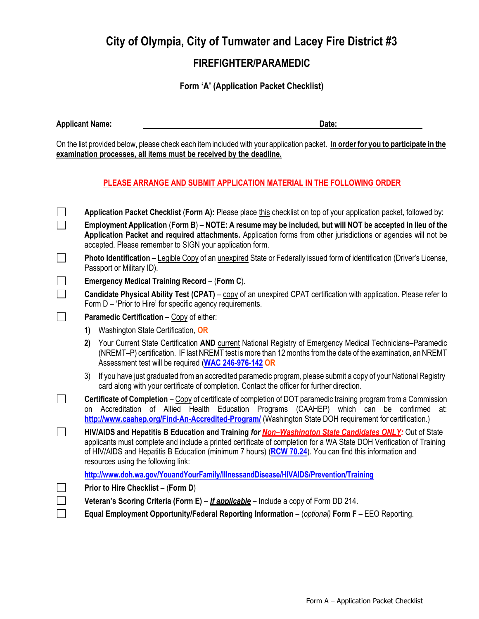### **FIREFIGHTER/PARAMEDIC**

**Form 'A' (Application Packet Checklist)**

**Applicant Name: Date:**

On the list provided below, please check each itemincluded with your application packet. **In order for you to participate in the examination processes, all items must be received by the deadline.**

### **PLEASE ARRANGE AND SUBMIT APPLICATION MATERIAL IN THE FOLLOWING ORDER**

|              | Application Packet Checklist (Form A): Please place this checklist on top of your application packet, followed by:                                                                                                                                                                                                                                                              |
|--------------|---------------------------------------------------------------------------------------------------------------------------------------------------------------------------------------------------------------------------------------------------------------------------------------------------------------------------------------------------------------------------------|
|              | Employment Application (Form B) – NOTE: A resume may be included, but will NOT be accepted in lieu of the<br>Application Packet and required attachments. Application forms from other jurisdictions or agencies will not be<br>accepted. Please remember to SIGN your application form.                                                                                        |
| $\mathsf{L}$ | Photo Identification – Legible Copy of an unexpired State or Federally issued form of identification (Driver's License,<br>Passport or Military ID).                                                                                                                                                                                                                            |
|              | Emergency Medical Training Record - (Form C).                                                                                                                                                                                                                                                                                                                                   |
| $\Box$       | Candidate Physical Ability Test (CPAT) – copy of an unexpired CPAT certification with application. Please refer to<br>Form D - 'Prior to Hire' for specific agency requirements.                                                                                                                                                                                                |
| $\perp$      | Paramedic Certification - Copy of either:                                                                                                                                                                                                                                                                                                                                       |
|              | Washington State Certification, OR<br>1)                                                                                                                                                                                                                                                                                                                                        |
|              | Your Current State Certification AND current National Registry of Emergency Medical Technicians-Paramedic<br>2)<br>(NREMT-P) certification. IF last NREMT test is more than 12 months from the date of the examination, an NREMT<br>Assessment test will be required (WAC 246-976-142 OR                                                                                        |
|              | If you have just graduated from an accredited paramedic program, please submit a copy of your National Registry<br>3)<br>card along with your certificate of completion. Contact the officer for further direction.                                                                                                                                                             |
|              | Certificate of Completion – Copy of certificate of completion of DOT paramedic training program from a Commission<br>Accreditation of Allied Health Education Programs (CAAHEP) which can be confirmed<br>at:<br>on<br>http://www.caahep.org/Find-An-Accredited-Program/ (Washington State DOH requirement for certification.)                                                  |
| $\mathsf{L}$ | HIV/AIDS and Hepatitis B Education and Training for Non-Washington State Candidates ONLY: Out of State<br>applicants must complete and include a printed certificate of completion for a WA State DOH Verification of Training<br>of HIV/AIDS and Hepatitis B Education (minimum 7 hours) (RCW 70.24). You can find this information and<br>resources using the following link: |
|              | http://www.doh.wa.gov/YouandYourFamily/IllnessandDisease/HIVAIDS/Prevention/Training                                                                                                                                                                                                                                                                                            |
|              | Prior to Hire Checklist - (Form D)                                                                                                                                                                                                                                                                                                                                              |
|              | Veteran's Scoring Criteria (Form E) – <i>If applicable</i> – Include a copy of Form DD 214.                                                                                                                                                                                                                                                                                     |
|              | Equal Employment Opportunity/Federal Reporting Information - (optional) Form F - EEO Reporting.                                                                                                                                                                                                                                                                                 |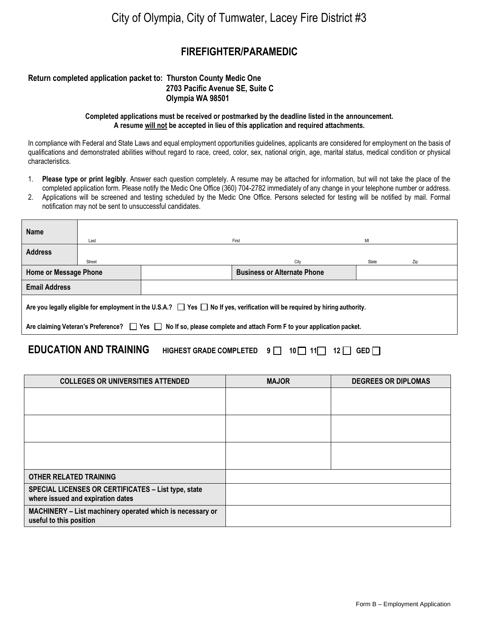### **FIREFIGHTER/PARAMEDIC**

#### **Return completed application packet to: Thurston County Medic One 2703 Pacific Avenue SE, Suite C Olympia WA 98501**

#### **Completed applications must be received or postmarked by the deadline listed in the announcement. A resume will not be accepted in lieu of this application and required attachments.**

In compliance with Federal and State Laws and equal employment opportunities guidelines, applicants are considered for employment on the basis of qualifications and demonstrated abilities without regard to race, creed, color, sex, national origin, age, marital status, medical condition or physical characteristics.

- 1. **Please type or print legibly**. Answer each question completely. A resume may be attached for information, but will not take the place of the completed application form. Please notify the Medic One Office (360) 704-2782 immediately of any change in your telephone number or address.
- 2. Applications will be screened and testing scheduled by the Medic One Office. Persons selected for testing will be notified by mail. Formal notification may not be sent to unsuccessful candidates.

| <b>Name</b>                                                                                                                            |                                                                                                                        |       |                                    |       |     |  |  |  |
|----------------------------------------------------------------------------------------------------------------------------------------|------------------------------------------------------------------------------------------------------------------------|-------|------------------------------------|-------|-----|--|--|--|
|                                                                                                                                        | Last                                                                                                                   | First |                                    | MI    |     |  |  |  |
| <b>Address</b>                                                                                                                         |                                                                                                                        |       |                                    |       |     |  |  |  |
|                                                                                                                                        | Street                                                                                                                 |       | City                               | State | Zip |  |  |  |
| <b>Home or Message Phone</b>                                                                                                           |                                                                                                                        |       | <b>Business or Alternate Phone</b> |       |     |  |  |  |
| <b>Email Address</b>                                                                                                                   |                                                                                                                        |       |                                    |       |     |  |  |  |
| Are you legally eligible for employment in the U.S.A.? $\Box$ Yes $\Box$ No If yes, verification will be required by hiring authority. |                                                                                                                        |       |                                    |       |     |  |  |  |
|                                                                                                                                        | Are claiming Veteran's Preference?<br>Yes<br>IN o If so, please complete and attach Form F to your application packet. |       |                                    |       |     |  |  |  |

### **EDUCATION AND TRAINING HIGHEST GRADE COMPLETED 9 10 11 12 GED**

| <b>COLLEGES OR UNIVERSITIES ATTENDED</b>                                                 | <b>MAJOR</b> | <b>DEGREES OR DIPLOMAS</b> |
|------------------------------------------------------------------------------------------|--------------|----------------------------|
|                                                                                          |              |                            |
|                                                                                          |              |                            |
|                                                                                          |              |                            |
|                                                                                          |              |                            |
|                                                                                          |              |                            |
|                                                                                          |              |                            |
| <b>OTHER RELATED TRAINING</b>                                                            |              |                            |
| SPECIAL LICENSES OR CERTIFICATES - List type, state<br>where issued and expiration dates |              |                            |
| MACHINERY - List machinery operated which is necessary or<br>useful to this position     |              |                            |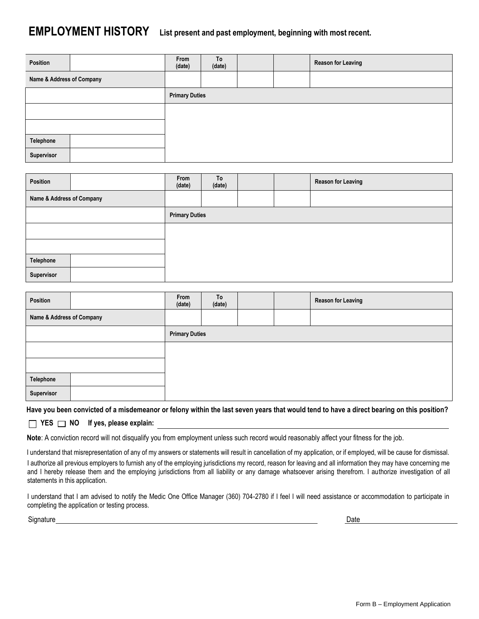## **EMPLOYMENT HISTORY List present and past employment, beginning with most recent.**

| Position                  | From<br>(date)        | To<br>(date) |  | <b>Reason for Leaving</b> |
|---------------------------|-----------------------|--------------|--|---------------------------|
| Name & Address of Company |                       |              |  |                           |
|                           | <b>Primary Duties</b> |              |  |                           |
|                           |                       |              |  |                           |
|                           |                       |              |  |                           |
| Telephone                 |                       |              |  |                           |
| Supervisor                |                       |              |  |                           |

| Position                  | From<br>(date)        | To<br>(date) |  | <b>Reason for Leaving</b> |
|---------------------------|-----------------------|--------------|--|---------------------------|
| Name & Address of Company |                       |              |  |                           |
|                           | <b>Primary Duties</b> |              |  |                           |
|                           |                       |              |  |                           |
|                           |                       |              |  |                           |
| Telephone                 |                       |              |  |                           |
| Supervisor                |                       |              |  |                           |

| Position                  | From<br>(date)        | To<br>(date) |  | <b>Reason for Leaving</b> |
|---------------------------|-----------------------|--------------|--|---------------------------|
| Name & Address of Company |                       |              |  |                           |
|                           | <b>Primary Duties</b> |              |  |                           |
|                           |                       |              |  |                           |
|                           |                       |              |  |                           |
| Telephone                 |                       |              |  |                           |
| Supervisor                |                       |              |  |                           |

**Have you been convicted of a misdemeanor or felony within the last seven years that would tend to have a direct bearing on this position?**

**YES NO If yes, please explain:**

**Note**: A conviction record will not disqualify you from employment unless such record would reasonably affect your fitness for the job.

I understand that misrepresentation of any of my answers or statements will result in cancellation of my application, or if employed, will be cause for dismissal.

I authorize all previous employers to furnish any of the employing jurisdictions my record, reason for leaving and all information they may have concerning me and I hereby release them and the employing jurisdictions from all liability or any damage whatsoever arising therefrom. I authorize investigation of all statements in this application.

I understand that I am advised to notify the Medic One Office Manager (360) 704-2780 if I feel I will need assistance or accommodation to participate in completing the application or testing process.

Signature Date **Date of the Contract of Contract Contract of Contract Contract Contract Only and Date Only and D**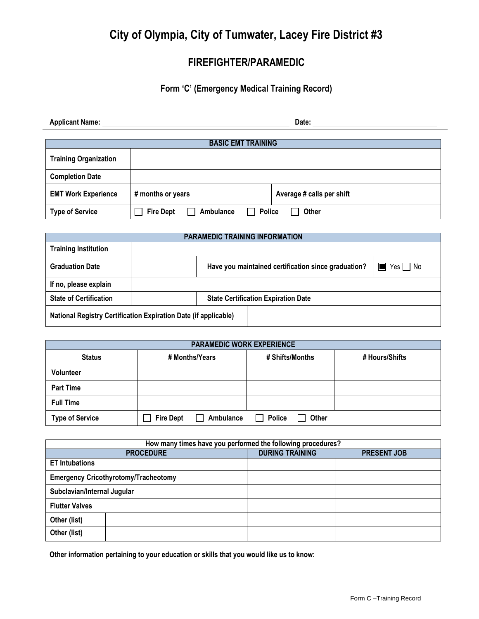### **FIREFIGHTER/PARAMEDIC**

### **Form 'C' (Emergency Medical Training Record)**

| <b>Applicant Name:</b>       |                               | Date:                         |
|------------------------------|-------------------------------|-------------------------------|
|                              | <b>BASIC EMT TRAINING</b>     |                               |
| <b>Training Organization</b> |                               |                               |
| <b>Completion Date</b>       |                               |                               |
| <b>EMT Work Experience</b>   | # months or years             | Average # calls per shift     |
| <b>Type of Service</b>       | <b>Fire Dept</b><br>Ambulance | <b>Police</b><br><b>Other</b> |

| <b>PARAMEDIC TRAINING INFORMATION</b>                                  |  |                                                     |  |                                      |  |  |
|------------------------------------------------------------------------|--|-----------------------------------------------------|--|--------------------------------------|--|--|
| <b>Training Institution</b>                                            |  |                                                     |  |                                      |  |  |
| <b>Graduation Date</b>                                                 |  | Have you maintained certification since graduation? |  | $\blacksquare$ Yes $\blacksquare$ No |  |  |
| If no, please explain                                                  |  |                                                     |  |                                      |  |  |
| <b>State of Certification</b>                                          |  | <b>State Certification Expiration Date</b>          |  |                                      |  |  |
| <b>National Registry Certification Expiration Date (if applicable)</b> |  |                                                     |  |                                      |  |  |

| <b>PARAMEDIC WORK EXPERIENCE</b>                                     |                                         |                        |  |  |  |  |  |  |  |  |
|----------------------------------------------------------------------|-----------------------------------------|------------------------|--|--|--|--|--|--|--|--|
| # Shifts/Months<br># Hours/Shifts<br><b>Status</b><br># Months/Years |                                         |                        |  |  |  |  |  |  |  |  |
| Volunteer                                                            |                                         |                        |  |  |  |  |  |  |  |  |
| <b>Part Time</b>                                                     |                                         |                        |  |  |  |  |  |  |  |  |
| <b>Full Time</b>                                                     |                                         |                        |  |  |  |  |  |  |  |  |
| <b>Type of Service</b>                                               | Ambulance<br><b>Fire Dept</b><br>$\sim$ | <b>Police</b><br>Other |  |  |  |  |  |  |  |  |

| How many times have you performed the following procedures? |                        |                    |  |  |  |  |
|-------------------------------------------------------------|------------------------|--------------------|--|--|--|--|
| <b>PROCEDURE</b>                                            | <b>DURING TRAINING</b> | <b>PRESENT JOB</b> |  |  |  |  |
| <b>ET Intubations</b>                                       |                        |                    |  |  |  |  |
| <b>Emergency Cricothyrotomy/Tracheotomy</b>                 |                        |                    |  |  |  |  |
| Subclavian/Internal Jugular                                 |                        |                    |  |  |  |  |
| <b>Flutter Valves</b>                                       |                        |                    |  |  |  |  |
| Other (list)                                                |                        |                    |  |  |  |  |
| Other (list)                                                |                        |                    |  |  |  |  |

**Other information pertaining to your education or skills that you would like us to know:**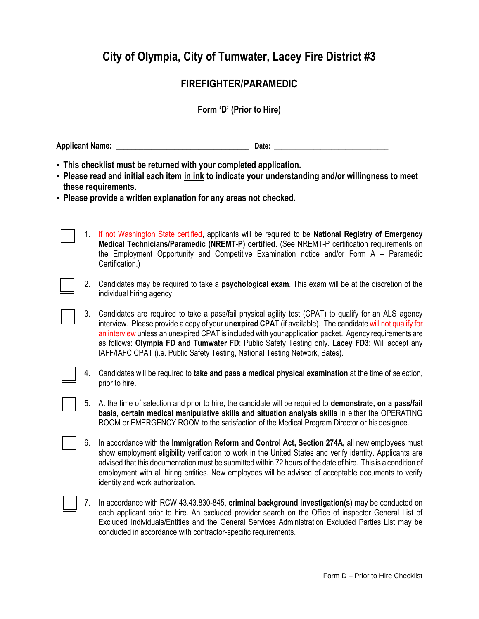### **FIREFIGHTER/PARAMEDIC**

### **Form 'D' (Prior to Hire)**

**Applicant Name: \_\_\_\_\_\_\_\_\_\_\_\_\_\_\_\_\_\_\_\_\_\_\_\_\_\_\_\_\_\_\_\_\_\_ Date: \_\_\_\_\_\_\_\_\_\_\_\_\_\_\_\_\_\_\_\_\_\_\_\_\_\_\_\_\_\_\_\_**

- **This checklist must be returned with your completed application.**
- **Please read and initial each item in ink to indicate your understanding and/or willingness to meet these requirements.**
- **Please provide a written explanation for any areas not checked.**
	- 1. If not Washington State certified, applicants will be required to be **National Registry of Emergency Medical Technicians/Paramedic (NREMT-P) certified**. (See NREMT-P certification requirements on the Employment Opportunity and Competitive Examination notice and/or Form A – Paramedic Certification.)
	- 2. Candidates may be required to take a **psychological exam**. This exam will be at the discretion of the individual hiring agency.
	- 3. Candidates are required to take a pass/fail physical agility test (CPAT) to qualify for an ALS agency interview. Please provide a copy of your **unexpired CPAT** (if available). The candidate will not qualify for an interview unless an unexpired CPAT is included with your application packet. Agency requirements are as follows: **Olympia FD and Tumwater FD**: Public Safety Testing only. **Lacey FD3**: Will accept any IAFF/IAFC CPAT (i.e. Public Safety Testing, National Testing Network, Bates).
	- 4. Candidates will be required to **take and pass a medical physical examination** at the time of selection, prior to hire.
	- 5. At the time of selection and prior to hire, the candidate will be required to **demonstrate, on a pass/fail basis, certain medical manipulative skills and situation analysis skills** in either the OPERATING ROOM or EMERGENCY ROOM to the satisfaction of the Medical Program Director or his designee.
	- 6. In accordance with the **Immigration Reform and Control Act, Section 274A,** all new employees must show employment eligibility verification to work in the United States and verify identity. Applicants are advised that this documentation must be submitted within 72 hours of the date of hire. This is a condition of employment with all hiring entities. New employees will be advised of acceptable documents to verify identity and work authorization.
	- 7. In accordance with RCW 43.43.830-845, **criminal background investigation(s)** may be conducted on each applicant prior to hire. An excluded provider search on the Office of inspector General List of Excluded Individuals/Entities and the General Services Administration Excluded Parties List may be conducted in accordance with contractor-specific requirements.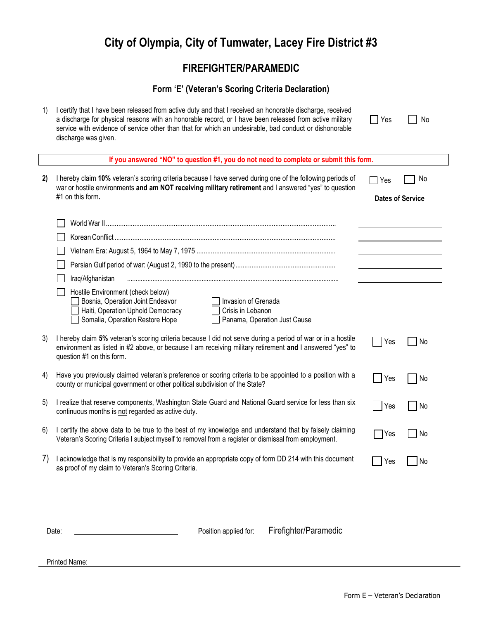## **FIREFIGHTER/PARAMEDIC**

### **Form 'E' (Veteran's Scoring Criteria Declaration)**

| 1)        | I certify that I have been released from active duty and that I received an honorable discharge, received<br>a discharge for physical reasons with an honorable record, or I have been released from active military<br>service with evidence of service other than that for which an undesirable, bad conduct or dishonorable<br>discharge was given. | Yes                              | No        |
|-----------|--------------------------------------------------------------------------------------------------------------------------------------------------------------------------------------------------------------------------------------------------------------------------------------------------------------------------------------------------------|----------------------------------|-----------|
|           | If you answered "NO" to question #1, you do not need to complete or submit this form.                                                                                                                                                                                                                                                                  |                                  |           |
| 2)        | I hereby claim 10% veteran's scoring criteria because I have served during one of the following periods of<br>war or hostile environments and am NOT receiving military retirement and I answered "yes" to question<br>#1 on this form.                                                                                                                | T Yes<br><b>Dates of Service</b> | No.       |
|           |                                                                                                                                                                                                                                                                                                                                                        |                                  |           |
|           |                                                                                                                                                                                                                                                                                                                                                        |                                  |           |
|           |                                                                                                                                                                                                                                                                                                                                                        |                                  |           |
|           |                                                                                                                                                                                                                                                                                                                                                        |                                  |           |
|           |                                                                                                                                                                                                                                                                                                                                                        |                                  |           |
|           | Iraq/Afghanistan                                                                                                                                                                                                                                                                                                                                       |                                  |           |
|           | Hostile Environment (check below)<br>Bosnia, Operation Joint Endeavor<br>Invasion of Grenada<br>Haiti, Operation Uphold Democracy<br>Crisis in Lebanon<br>Somalia, Operation Restore Hope<br>Panama, Operation Just Cause                                                                                                                              |                                  |           |
| 3)        | I hereby claim 5% veteran's scoring criteria because I did not serve during a period of war or in a hostile<br>environment as listed in #2 above, or because I am receiving military retirement and I answered "yes" to<br>question #1 on this form.                                                                                                   | Yes                              | No        |
| 4)        | Have you previously claimed veteran's preference or scoring criteria to be appointed to a position with a<br>county or municipal government or other political subdivision of the State?                                                                                                                                                               | Yes                              | <b>No</b> |
| 5)        | I realize that reserve components, Washington State Guard and National Guard service for less than six<br>continuous months is not regarded as active duty.                                                                                                                                                                                            | Yes                              | <b>No</b> |
| 6)        | I certify the above data to be true to the best of my knowledge and understand that by falsely claiming<br>Veteran's Scoring Criteria I subject myself to removal from a register or dismissal from employment.                                                                                                                                        | Yes                              | No        |
| $\bigcap$ | I acknowledge that is my responsibility to provide an appropriate copy of form DD 214 with this document<br>as proof of my claim to Veteran's Scoring Criteria.                                                                                                                                                                                        | Yes                              | No        |
|           |                                                                                                                                                                                                                                                                                                                                                        |                                  |           |

Date: **Date:** 2008 **Date:** Position applied for: Firefighter/Paramedic

Printed Name: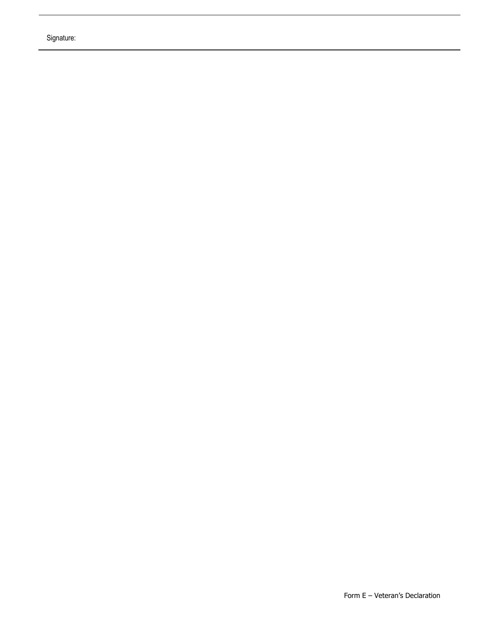Signature: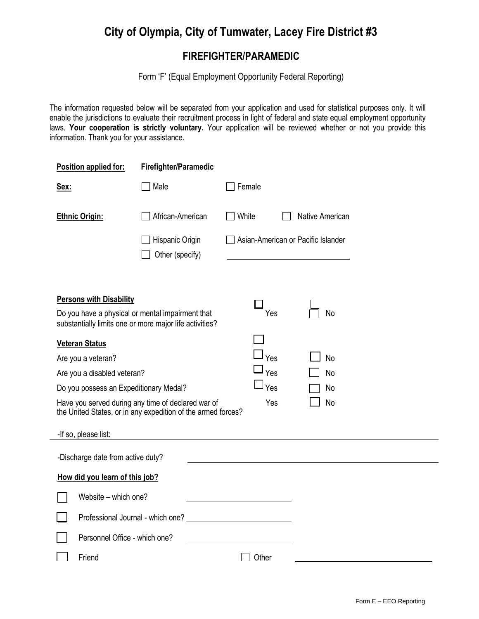### **FIREFIGHTER/PARAMEDIC**

Form 'F' (Equal Employment Opportunity Federal Reporting)

The information requested below will be separated from your application and used for statistical purposes only. It will enable the jurisdictions to evaluate their recruitment process in light of federal and state equal employment opportunity laws. **Your cooperation is strictly voluntary.** Your application will be reviewed whether or not you provide this information. Thank you for your assistance.

| Position applied for:                                                                                                                         | Firefighter/Paramedic                                                                                              |                                    |                 |
|-----------------------------------------------------------------------------------------------------------------------------------------------|--------------------------------------------------------------------------------------------------------------------|------------------------------------|-----------------|
| Sex:                                                                                                                                          | Male                                                                                                               | Female                             |                 |
| <b>Ethnic Origin:</b>                                                                                                                         | African-American                                                                                                   | White                              | Native American |
|                                                                                                                                               | Hispanic Origin<br>Other (specify)                                                                                 | Asian-American or Pacific Islander |                 |
| <b>Persons with Disability</b><br>Do you have a physical or mental impairment that<br>substantially limits one or more major life activities? |                                                                                                                    | Yes                                | No              |
| <b>Veteran Status</b>                                                                                                                         |                                                                                                                    |                                    |                 |
| Are you a veteran?                                                                                                                            |                                                                                                                    | Yes                                | <b>No</b>       |
| Are you a disabled veteran?                                                                                                                   |                                                                                                                    | Yes                                | <b>No</b>       |
| Do you possess an Expeditionary Medal?                                                                                                        |                                                                                                                    | Yes                                | No              |
|                                                                                                                                               | Have you served during any time of declared war of<br>the United States, or in any expedition of the armed forces? | Yes                                | <b>No</b>       |
| -If so, please list:                                                                                                                          |                                                                                                                    |                                    |                 |
| -Discharge date from active duty?                                                                                                             |                                                                                                                    |                                    |                 |
| How did you learn of this job?                                                                                                                |                                                                                                                    |                                    |                 |
| Website - which one?                                                                                                                          |                                                                                                                    |                                    |                 |
|                                                                                                                                               | Professional Journal - which one?                                                                                  |                                    |                 |
|                                                                                                                                               | Personnel Office - which one?                                                                                      |                                    |                 |
| Friend                                                                                                                                        |                                                                                                                    | Other                              |                 |